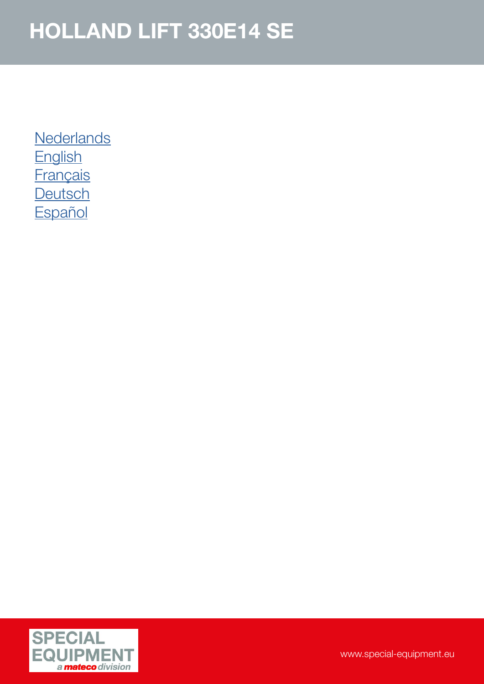**[Nederlands](#page-1-0) [English](#page-2-0) [Français](#page-3-0) [Deutsch](#page-4-0) [Español](#page-5-0)** 

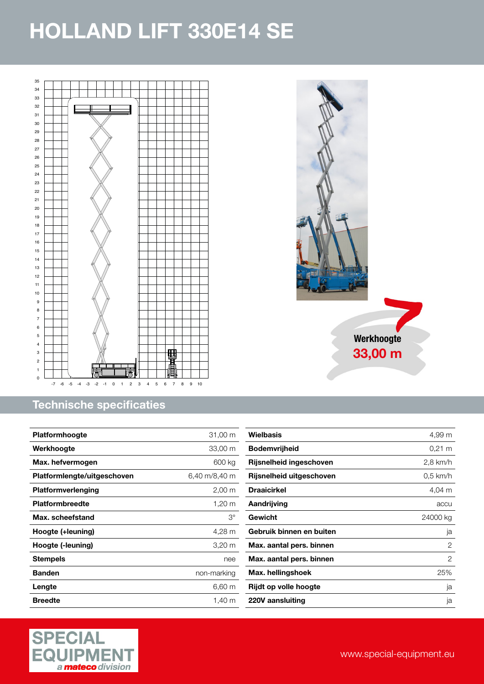<span id="page-1-0"></span>

### Technische specificaties

| <b>Platformhoogte</b>       | 31,00 m              |
|-----------------------------|----------------------|
| Werkhoogte                  | 33,00 m              |
| Max. hefvermogen            | 600 kg               |
| Platformlengte/uitgeschoven | 6,40 m/8,40 m        |
| <b>Platformverlenging</b>   | $2,00 \, \text{m}$   |
| <b>Platformbreedte</b>      | 1,20 m               |
| Max. scheefstand            | З°                   |
| Hoogte (+leuning)           | 4,28 m               |
| Hoogte (-leuning)           | $3,20 \; \mathrm{m}$ |
| Stempels                    | nee                  |
| <b>Banden</b>               | non-marking          |
| Lengte                      | 6,60 m               |
| <b>Breedte</b>              | 1.40 m               |





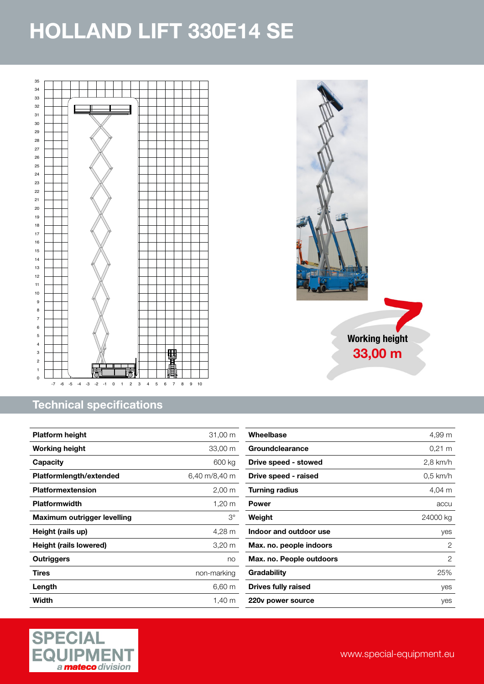<span id="page-2-0"></span>

### Technical specifications

| <b>Platform height</b>      | 31,00 m              |
|-----------------------------|----------------------|
| <b>Working height</b>       | 33,00 m              |
| Capacity                    | 600 kg               |
| Platformlength/extended     | 6,40 m/8,40 m        |
| <b>Platformextension</b>    | $2,00 \; \mathrm{m}$ |
| <b>Platformwidth</b>        | 1,20 m               |
| Maximum outrigger levelling | $3^\circ$            |
| Height (rails up)           | 4,28 m               |
| Height (rails lowered)      | $3,20 \; \mathrm{m}$ |
| Outriggers                  | no                   |
| Tires                       | non-marking          |
| Length                      | 6,60 m               |
| Width                       | 1,40 m               |



Working height 33,00 m

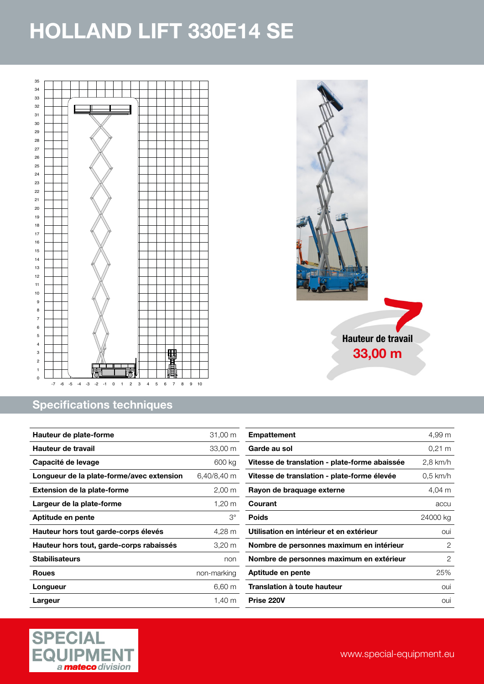<span id="page-3-0"></span>

### Specifications techniques

| Hauteur de plate-forme                    | 31,00 m              |
|-------------------------------------------|----------------------|
| Hauteur de travail                        | 33,00 m              |
| Capacité de levage                        | 600 kg               |
| Longueur de la plate-forme/avec extension | 6,40/8,40 m          |
| <b>Extension de la plate-forme</b>        | $2,00 \; \mathrm{m}$ |
| Largeur de la plate-forme                 | $1,20 \text{ m}$     |
| Aptitude en pente                         | З°                   |
| Hauteur hors tout garde-corps élevés      | 4,28 m               |
| Hauteur hors tout, garde-corps rabaissés  | 3,20 m               |
| <b>Stabilisateurs</b>                     | non                  |
| <b>Roues</b>                              | non-marking          |
| Longueur                                  | $6,60 \; m$          |
| Largeur                                   | 1.40 m               |

| <b>Empattement</b>                            | 4,99 m           |
|-----------------------------------------------|------------------|
| Garde au sol                                  | $0.21 \text{ m}$ |
| Vitesse de translation - plate-forme abaissée | 2,8 km/h         |
| Vitesse de translation - plate-forme élevée   | $0.5$ km/h       |
| Rayon de braquage externe                     | 4,04 m           |
| Courant                                       | accu             |
| Poids                                         | 24000 kg         |
| Utilisation en intérieur et en extérieur      | oui              |
| Nombre de personnes maximum en intérieur      | 2                |
| Nombre de personnes maximum en extérieur      | 2                |
| Aptitude en pente                             | 25%              |
| Translation à toute hauteur                   | oui              |
| Prise 220V                                    | oui              |

Hauteur de travail 33,00 m

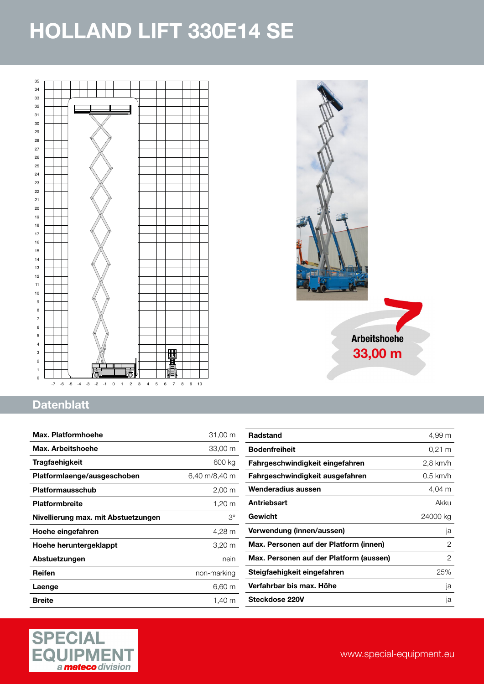<span id="page-4-0"></span>



### **Datenblatt**

| Max. Platformhoehe                  | 31,00 m              |
|-------------------------------------|----------------------|
| Max. Arbeitshoehe                   | 33,00 m              |
| Tragfaehigkeit                      | 600 kg               |
| Platformlaenge/ausgeschoben         | 6,40 m/8,40 m        |
| <b>Platformausschub</b>             | $2,00 \, \text{m}$   |
| <b>Platformbreite</b>               | 1,20 m               |
| Nivellierung max. mit Abstuetzungen | $3^\circ$            |
| Hoehe eingefahren                   | 4,28 m               |
| Hoehe heruntergeklappt              | $3,20 \; \mathrm{m}$ |
| Abstuetzungen                       | nein                 |
| Reifen                              | non-marking          |
| Laenge                              | 6,60 m               |
| <b>Breite</b>                       | 1,40 m               |

| 4,99 m   |
|----------|
| 0.21 m   |
| 2,8 km/h |
| 0.5 km/h |
| 4.04 m   |
| Akku     |
| 24000 kg |
| ja       |
| 2        |
| 2        |
| 25%      |
| ja       |
| ja       |
|          |